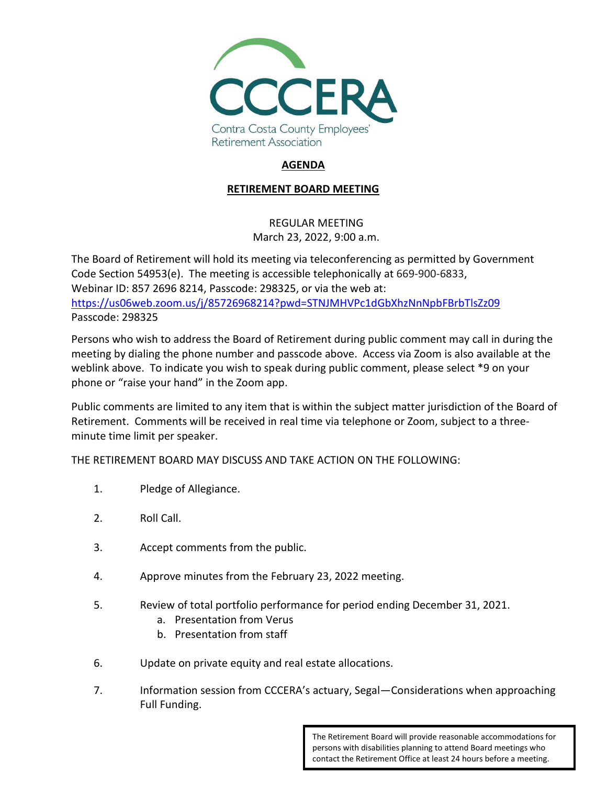

## **AGENDA**

## **RETIREMENT BOARD MEETING**

## REGULAR MEETING March 23, 2022, 9:00 a.m.

The Board of Retirement will hold its meeting via teleconferencing as permitted by Government Code Section 54953(e). The meeting is accessible telephonically at 669-900-6833, Webinar ID: 857 2696 8214, Passcode: 298325, or via the web at: <https://us06web.zoom.us/j/85726968214?pwd=STNJMHVPc1dGbXhzNnNpbFBrbTlsZz09> Passcode: 298325

Persons who wish to address the Board of Retirement during public comment may call in during the meeting by dialing the phone number and passcode above. Access via Zoom is also available at the weblink above. To indicate you wish to speak during public comment, please select \*9 on your phone or "raise your hand" in the Zoom app.

Public comments are limited to any item that is within the subject matter jurisdiction of the Board of Retirement. Comments will be received in real time via telephone or Zoom, subject to a threeminute time limit per speaker.

THE RETIREMENT BOARD MAY DISCUSS AND TAKE ACTION ON THE FOLLOWING:

- 1. Pledge of Allegiance.
- 2. Roll Call.
- 3. Accept comments from the public.
- 4. Approve minutes from the February 23, 2022 meeting.
- 5. Review of total portfolio performance for period ending December 31, 2021.
	- a. Presentation from Verus
	- b. Presentation from staff
- 6. Update on private equity and real estate allocations.
- 7. Information session from CCCERA's actuary, Segal—Considerations when approaching Full Funding.

The Retirement Board will provide reasonable accommodations for persons with disabilities planning to attend Board meetings who contact the Retirement Office at least 24 hours before a meeting.